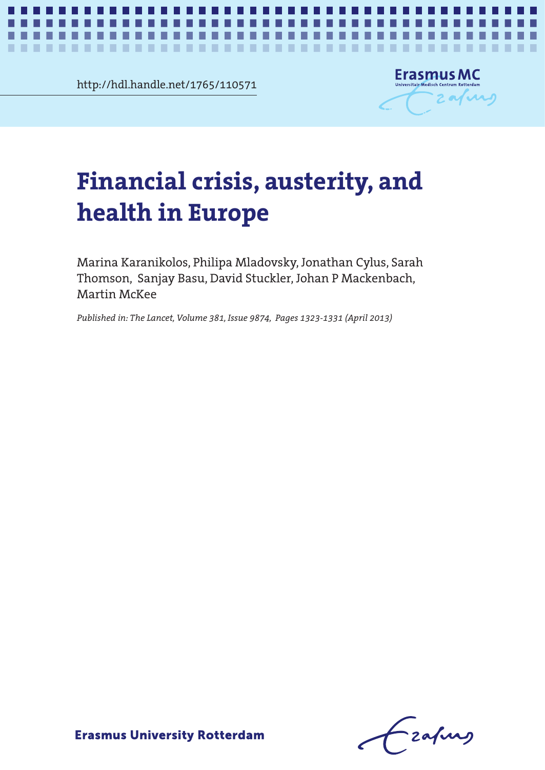http://hdl.handle.net/1765/110571



# Financial crisis, austerity, and **health in Europe**

*Financial crisis, austerity and health in Europe* **1**

Marina Karanikolos, Philipa Mladovsky, Jonathan Cylus, Sarah Thomson, Sanjay Basu, David Stuckler, Johan P Mackenbach, Martin McKee

*Published in: The Lancet, Volume 381, Issue 9874, Pages 1323-1331 (April 2013)*

Czafurg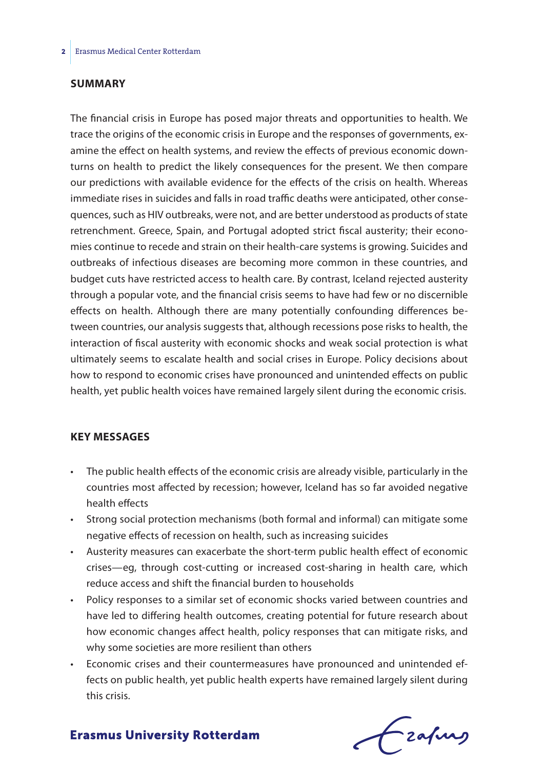## **Summary**

The financial crisis in Europe has posed major threats and opportunities to health. We trace the origins of the economic crisis in Europe and the responses of governments, examine the effect on health systems, and review the effects of previous economic downturns on health to predict the likely consequences for the present. We then compare our predictions with available evidence for the effects of the crisis on health. Whereas immediate rises in suicides and falls in road traffic deaths were anticipated, other consequences, such as HIV outbreaks, were not, and are better understood as products of state retrenchment. Greece, Spain, and Portugal adopted strict fiscal austerity; their economies continue to recede and strain on their health-care systems is growing. Suicides and outbreaks of infectious diseases are becoming more common in these countries, and budget cuts have restricted access to health care. By contrast, Iceland rejected austerity through a popular vote, and the financial crisis seems to have had few or no discernible effects on health. Although there are many potentially confounding differences between countries, our analysis suggests that, although recessions pose risks to health, the interaction of fiscal austerity with economic shocks and weak social protection is what ultimately seems to escalate health and social crises in Europe. Policy decisions about how to respond to economic crises have pronounced and unintended effects on public health, yet public health voices have remained largely silent during the economic crisis.

## **Key messages**

- The public health effects of the economic crisis are already visible, particularly in the countries most affected by recession; however, Iceland has so far avoided negative health effects
- • Strong social protection mechanisms (both formal and informal) can mitigate some negative effects of recession on health, such as increasing suicides
- Austerity measures can exacerbate the short-term public health effect of economic crises—eg, through cost-cutting or increased cost-sharing in health care, which reduce access and shift the financial burden to households
- Policy responses to a similar set of economic shocks varied between countries and have led to differing health outcomes, creating potential for future research about how economic changes affect health, policy responses that can mitigate risks, and why some societies are more resilient than others
- Economic crises and their countermeasures have pronounced and unintended effects on public health, yet public health experts have remained largely silent during this crisis.

frafing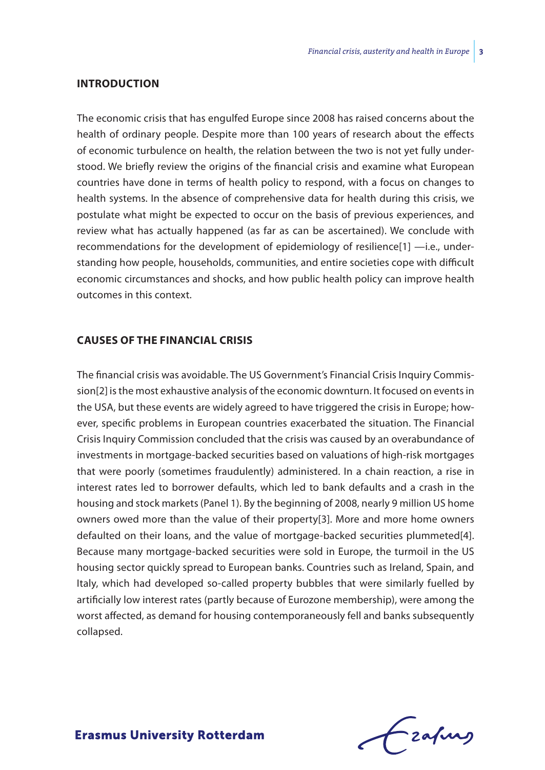## **Introduction**

The economic crisis that has engulfed Europe since 2008 has raised concerns about the health of ordinary people. Despite more than 100 years of research about the effects of economic turbulence on health, the relation between the two is not yet fully understood. We briefly review the origins of the financial crisis and examine what European countries have done in terms of health policy to respond, with a focus on changes to health systems. In the absence of comprehensive data for health during this crisis, we postulate what might be expected to occur on the basis of previous experiences, and review what has actually happened (as far as can be ascertained). We conclude with recommendations for the development of epidemiology of resilience[1] —i.e., understanding how people, households, communities, and entire societies cope with difficult economic circumstances and shocks, and how public health policy can improve health outcomes in this context.

## **Causes of the financial crisis**

The financial crisis was avoidable. The US Government's Financial Crisis Inquiry Commission[2] is the most exhaustive analysis of the economic downturn. It focused on events in the USA, but these events are widely agreed to have triggered the crisis in Europe; however, specific problems in European countries exacerbated the situation. The Financial Crisis Inquiry Commission concluded that the crisis was caused by an overabundance of investments in mortgage-backed securities based on valuations of high-risk mortgages that were poorly (sometimes fraudulently) administered. In a chain reaction, a rise in interest rates led to borrower defaults, which led to bank defaults and a crash in the housing and stock markets (Panel 1). By the beginning of 2008, nearly 9 million US home owners owed more than the value of their property[3]. More and more home owners defaulted on their loans, and the value of mortgage-backed securities plummeted[4]. Because many mortgage-backed securities were sold in Europe, the turmoil in the US housing sector quickly spread to European banks. Countries such as Ireland, Spain, and Italy, which had developed so-called property bubbles that were similarly fuelled by artificially low interest rates (partly because of Eurozone membership), were among the worst affected, as demand for housing contemporaneously fell and banks subsequently collapsed.

Frahing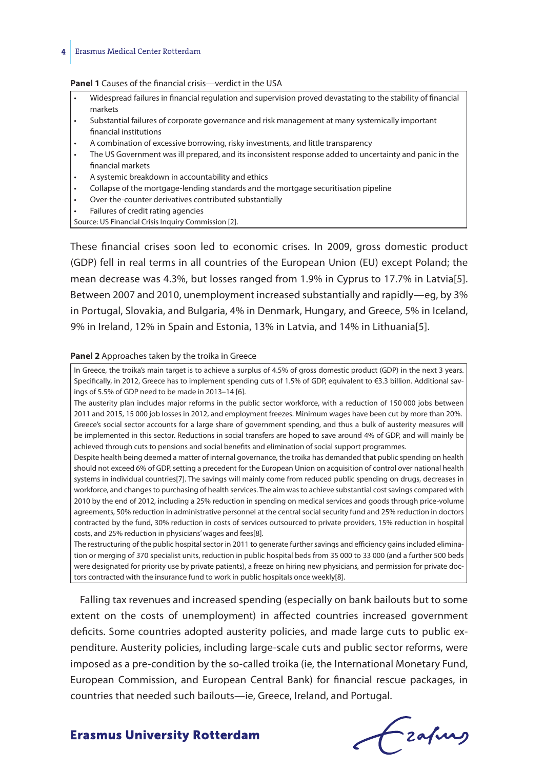#### **Panel 1** Causes of the financial crisis—verdict in the USA

- Widespread failures in financial regulation and supervision proved devastating to the stability of financial markets
- Substantial failures of corporate governance and risk management at many systemically important financial institutions
- A combination of excessive borrowing, risky investments, and little transparency
- The US Government was ill prepared, and its inconsistent response added to uncertainty and panic in the financial markets
- A systemic breakdown in accountability and ethics
- Collapse of the mortgage-lending standards and the mortgage securitisation pipeline
- Over-the-counter derivatives contributed substantially
- Failures of credit rating agencies

Source: US Financial Crisis Inquiry Commission [2].

These financial crises soon led to economic crises. In 2009, gross domestic product (GDP) fell in real terms in all countries of the European Union (EU) except Poland; the mean decrease was 4.3%, but losses ranged from 1.9% in Cyprus to 17.7% in Latvia[5]. Between 2007 and 2010, unemployment increased substantially and rapidly—eg, by 3% in Portugal, Slovakia, and Bulgaria, 4% in Denmark, Hungary, and Greece, 5% in Iceland, 9% in Ireland, 12% in Spain and Estonia, 13% in Latvia, and 14% in Lithuania[5].

#### **Panel 2** Approaches taken by the troika in Greece

In Greece, the troika's main target is to achieve a surplus of 4.5% of gross domestic product (GDP) in the next 3 years. Specifically, in 2012, Greece has to implement spending cuts of 1.5% of GDP, equivalent to €3.3 billion. Additional savings of 5.5% of GDP need to be made in 2013–14 [6].

The austerity plan includes major reforms in the public sector workforce, with a reduction of 150 000 jobs between 2011 and 2015, 15 000 job losses in 2012, and employment freezes. Minimum wages have been cut by more than 20%. Greece's social sector accounts for a large share of government spending, and thus a bulk of austerity measures will be implemented in this sector. Reductions in social transfers are hoped to save around 4% of GDP, and will mainly be achieved through cuts to pensions and social benefits and elimination of social support programmes.

Despite health being deemed a matter of internal governance, the troika has demanded that public spending on health should not exceed 6% of GDP, setting a precedent for the European Union on acquisition of control over national health systems in individual countries[7]. The savings will mainly come from reduced public spending on drugs, decreases in workforce, and changes to purchasing of health services. The aim was to achieve substantial cost savings compared with 2010 by the end of 2012, including a 25% reduction in spending on medical services and goods through price-volume agreements, 50% reduction in administrative personnel at the central social security fund and 25% reduction in doctors contracted by the fund, 30% reduction in costs of services outsourced to private providers, 15% reduction in hospital costs, and 25% reduction in physicians'wages and fees[8].

The restructuring of the public hospital sector in 2011 to generate further savings and efficiency gains included elimination or merging of 370 specialist units, reduction in public hospital beds from 35 000 to 33 000 (and a further 500 beds were designated for priority use by private patients), a freeze on hiring new physicians, and permission for private doctors contracted with the insurance fund to work in public hospitals once weekly[8].

Falling tax revenues and increased spending (especially on bank bailouts but to some extent on the costs of unemployment) in affected countries increased government deficits. Some countries adopted austerity policies, and made large cuts to public expenditure. Austerity policies, including large-scale cuts and public sector reforms, were imposed as a pre-condition by the so-called troika (ie, the International Monetary Fund, European Commission, and European Central Bank) for financial rescue packages, in countries that needed such bailouts—ie, Greece, Ireland, and Portugal.

frafing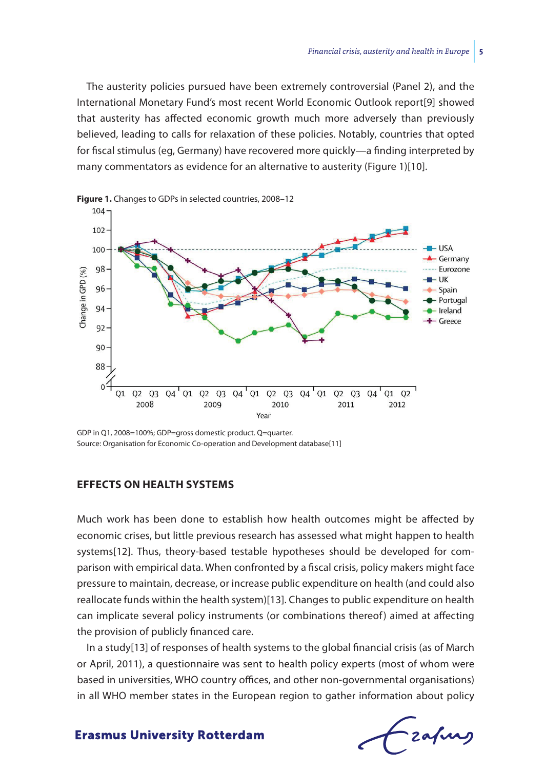The austerity policies pursued have been extremely controversial (Panel 2), and the International Monetary Fund's most recent World Economic Outlook report[9] showed that austerity has affected economic growth much more adversely than previously believed, leading to calls for relaxation of these policies. Notably, countries that opted for fiscal stimulus (eg, Germany) have recovered more quickly—a finding interpreted by many commentators as evidence for an alternative to austerity (Figure 1)[10].



**Figure 1.** Changes to GDPs in selected countries, 2008–12

GDP in Q1, 2008=100%; GDP=gross domestic product. Q=quarter. Source: Organisation for Economic Co-operation and Development database[11]

## **Effects on health systems**

Much work has been done to establish how health outcomes might be affected by economic crises, but little previous research has assessed what might happen to health systems[12]. Thus, theory-based testable hypotheses should be developed for comparison with empirical data. When confronted by a fiscal crisis, policy makers might face pressure to maintain, decrease, or increase public expenditure on health (and could also reallocate funds within the health system)[13]. Changes to public expenditure on health can implicate several policy instruments (or combinations thereof) aimed at affecting the provision of publicly financed care.

In a study[13] of responses of health systems to the global financial crisis (as of March or April, 2011), a questionnaire was sent to health policy experts (most of whom were based in universities, WHO country offices, and other non-governmental organisations) in all WHO member states in the European region to gather information about policy

Frafing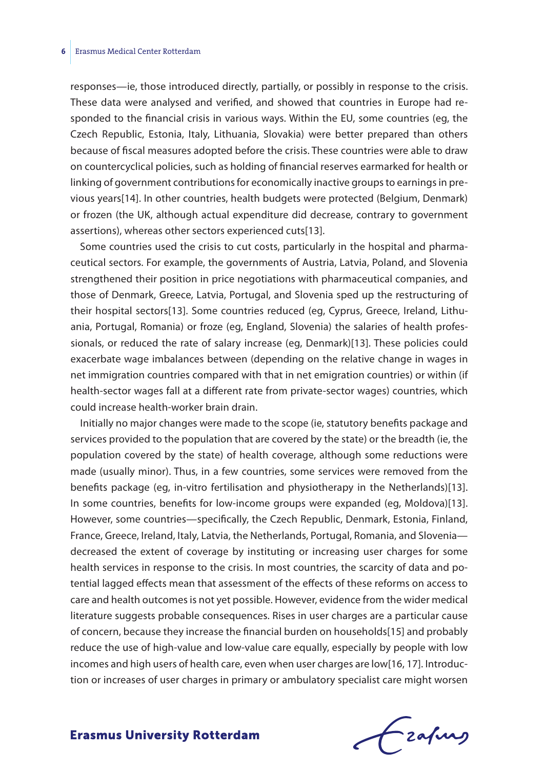responses—ie, those introduced directly, partially, or possibly in response to the crisis. These data were analysed and verified, and showed that countries in Europe had responded to the financial crisis in various ways. Within the EU, some countries (eg, the Czech Republic, Estonia, Italy, Lithuania, Slovakia) were better prepared than others because of fiscal measures adopted before the crisis. These countries were able to draw on countercyclical policies, such as holding of financial reserves earmarked for health or linking of government contributions for economically inactive groups to earnings in previous years[14]. In other countries, health budgets were protected (Belgium, Denmark) or frozen (the UK, although actual expenditure did decrease, contrary to government assertions), whereas other sectors experienced cuts[13].

Some countries used the crisis to cut costs, particularly in the hospital and pharmaceutical sectors. For example, the governments of Austria, Latvia, Poland, and Slovenia strengthened their position in price negotiations with pharmaceutical companies, and those of Denmark, Greece, Latvia, Portugal, and Slovenia sped up the restructuring of their hospital sectors[13]. Some countries reduced (eg, Cyprus, Greece, Ireland, Lithuania, Portugal, Romania) or froze (eg, England, Slovenia) the salaries of health professionals, or reduced the rate of salary increase (eg, Denmark)[13]. These policies could exacerbate wage imbalances between (depending on the relative change in wages in net immigration countries compared with that in net emigration countries) or within (if health-sector wages fall at a different rate from private-sector wages) countries, which could increase health-worker brain drain.

Initially no major changes were made to the scope (ie, statutory benefits package and services provided to the population that are covered by the state) or the breadth (ie, the population covered by the state) of health coverage, although some reductions were made (usually minor). Thus, in a few countries, some services were removed from the benefits package (eg, in-vitro fertilisation and physiotherapy in the Netherlands)[13]. In some countries, benefits for low-income groups were expanded (eg, Moldova)[13]. However, some countries—specifically, the Czech Republic, Denmark, Estonia, Finland, France, Greece, Ireland, Italy, Latvia, the Netherlands, Portugal, Romania, and Slovenia decreased the extent of coverage by instituting or increasing user charges for some health services in response to the crisis. In most countries, the scarcity of data and potential lagged effects mean that assessment of the effects of these reforms on access to care and health outcomes is not yet possible. However, evidence from the wider medical literature suggests probable consequences. Rises in user charges are a particular cause of concern, because they increase the financial burden on households[15] and probably reduce the use of high-value and low-value care equally, especially by people with low incomes and high users of health care, even when user charges are low[16, 17]. Introduction or increases of user charges in primary or ambulatory specialist care might worsen

Frafing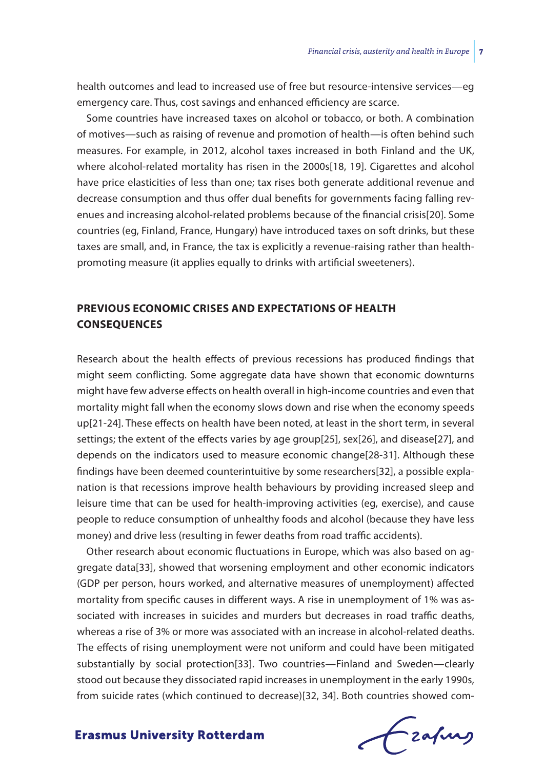health outcomes and lead to increased use of free but resource-intensive services—eg emergency care. Thus, cost savings and enhanced efficiency are scarce.

Some countries have increased taxes on alcohol or tobacco, or both. A combination of motives—such as raising of revenue and promotion of health—is often behind such measures. For example, in 2012, alcohol taxes increased in both Finland and the UK, where alcohol-related mortality has risen in the 2000s[18, 19]. Cigarettes and alcohol have price elasticities of less than one; tax rises both generate additional revenue and decrease consumption and thus offer dual benefits for governments facing falling revenues and increasing alcohol-related problems because of the financial crisis[20]. Some countries (eg, Finland, France, Hungary) have introduced taxes on soft drinks, but these taxes are small, and, in France, the tax is explicitly a revenue-raising rather than healthpromoting measure (it applies equally to drinks with artificial sweeteners).

# **Previous economic crises and expectations of health consequences**

Research about the health effects of previous recessions has produced findings that might seem conflicting. Some aggregate data have shown that economic downturns might have few adverse effects on health overall in high-income countries and even that mortality might fall when the economy slows down and rise when the economy speeds up[21-24]. These effects on health have been noted, at least in the short term, in several settings; the extent of the effects varies by age group[25], sex[26], and disease[27], and depends on the indicators used to measure economic change[28-31]. Although these findings have been deemed counterintuitive by some researchers[32], a possible explanation is that recessions improve health behaviours by providing increased sleep and leisure time that can be used for health-improving activities (eg, exercise), and cause people to reduce consumption of unhealthy foods and alcohol (because they have less money) and drive less (resulting in fewer deaths from road traffic accidents).

Other research about economic fluctuations in Europe, which was also based on aggregate data[33], showed that worsening employment and other economic indicators (GDP per person, hours worked, and alternative measures of unemployment) affected mortality from specific causes in different ways. A rise in unemployment of 1% was associated with increases in suicides and murders but decreases in road traffic deaths, whereas a rise of 3% or more was associated with an increase in alcohol-related deaths. The effects of rising unemployment were not uniform and could have been mitigated substantially by social protection[33]. Two countries—Finland and Sweden—clearly stood out because they dissociated rapid increases in unemployment in the early 1990s, from suicide rates (which continued to decrease)[32, 34]. Both countries showed com-

frafing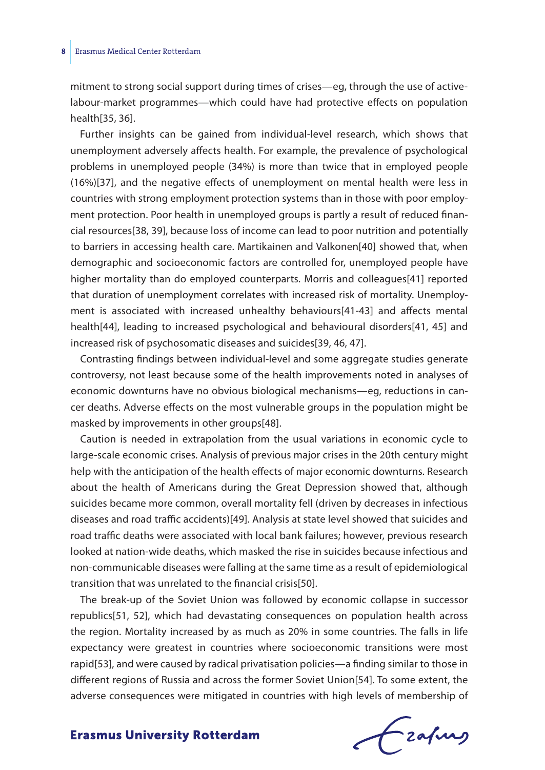mitment to strong social support during times of crises—eg, through the use of activelabour-market programmes—which could have had protective effects on population health[35, 36].

Further insights can be gained from individual-level research, which shows that unemployment adversely affects health. For example, the prevalence of psychological problems in unemployed people (34%) is more than twice that in employed people (16%)[37], and the negative effects of unemployment on mental health were less in countries with strong employment protection systems than in those with poor employment protection. Poor health in unemployed groups is partly a result of reduced financial resources[38, 39], because loss of income can lead to poor nutrition and potentially to barriers in accessing health care. Martikainen and Valkonen[40] showed that, when demographic and socioeconomic factors are controlled for, unemployed people have higher mortality than do employed counterparts. Morris and colleagues[41] reported that duration of unemployment correlates with increased risk of mortality. Unemployment is associated with increased unhealthy behaviours[41-43] and affects mental health[44], leading to increased psychological and behavioural disorders[41, 45] and increased risk of psychosomatic diseases and suicides[39, 46, 47].

Contrasting findings between individual-level and some aggregate studies generate controversy, not least because some of the health improvements noted in analyses of economic downturns have no obvious biological mechanisms—eg, reductions in cancer deaths. Adverse effects on the most vulnerable groups in the population might be masked by improvements in other groups[48].

Caution is needed in extrapolation from the usual variations in economic cycle to large-scale economic crises. Analysis of previous major crises in the 20th century might help with the anticipation of the health effects of major economic downturns. Research about the health of Americans during the Great Depression showed that, although suicides became more common, overall mortality fell (driven by decreases in infectious diseases and road traffic accidents)[49]. Analysis at state level showed that suicides and road traffic deaths were associated with local bank failures; however, previous research looked at nation-wide deaths, which masked the rise in suicides because infectious and non-communicable diseases were falling at the same time as a result of epidemiological transition that was unrelated to the financial crisis[50].

The break-up of the Soviet Union was followed by economic collapse in successor republics[51, 52], which had devastating consequences on population health across the region. Mortality increased by as much as 20% in some countries. The falls in life expectancy were greatest in countries where socioeconomic transitions were most rapid[53], and were caused by radical privatisation policies—a finding similar to those in different regions of Russia and across the former Soviet Union[54]. To some extent, the adverse consequences were mitigated in countries with high levels of membership of

frafing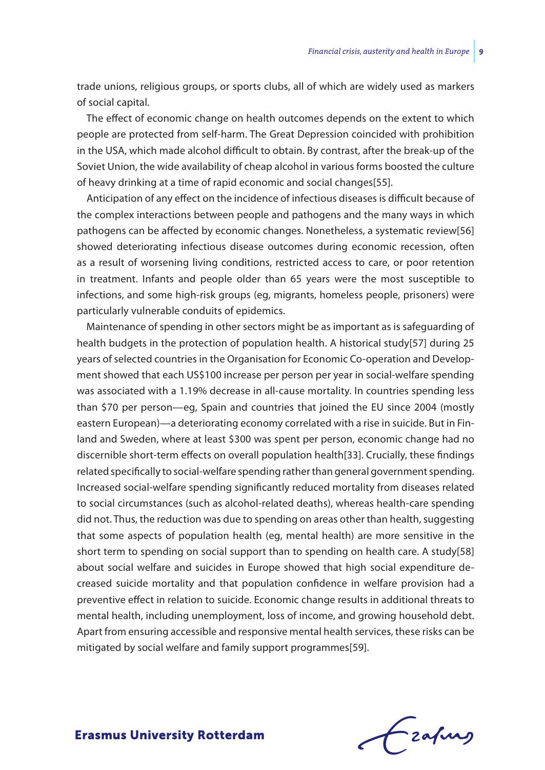trade unions, religious groups, or sports clubs, all of which are widely used as markers of social capital.

The effect of economic change on health outcomes depends on the extent to which people are protected from self-harm. The Great Depression coincided with prohibition in the USA, which made alcohol difficult to obtain. By contrast, after the break-up of the Soviet Union, the wide availability of cheap alcohol in various forms boosted the culture of heavy drinking at a time of rapid economic and social changes[55].

Anticipation of any effect on the incidence of infectious diseases is difficult because of the complex interactions between people and pathogens and the many ways in which pathogens can be affected by economic changes. Nonetheless, a systematic review[56] showed deteriorating infectious disease outcomes during economic recession, often as a result of worsening living conditions, restricted access to care, or poor retention in treatment. Infants and people older than 65 years were the most susceptible to infections, and some high-risk groups (eg, migrants, homeless people, prisoners) were particularly vulnerable conduits of epidemics.

Maintenance of spending in other sectors might be as important as is safeguarding of health budgets in the protection of population health. A historical study[57] during 25 years of selected countries in the Organisation for Economic Co-operation and Development showed that each US\$100 increase per person per year in social-welfare spending was associated with a 1.19% decrease in all-cause mortality. In countries spending less than \$70 per person—eg, Spain and countries that joined the EU since 2004 (mostly eastern European)—a deteriorating economy correlated with a rise in suicide. But in Finland and Sweden, where at least \$300 was spent per person, economic change had no discernible short-term effects on overall population health[33]. Crucially, these findings related specifically to social-welfare spending rather than general government spending. Increased social-welfare spending significantly reduced mortality from diseases related to social circumstances (such as alcohol-related deaths), whereas health-care spending did not. Thus, the reduction was due to spending on areas other than health, suggesting that some aspects of population health (eg, mental health) are more sensitive in the short term to spending on social support than to spending on health care. A study[58] about social welfare and suicides in Europe showed that high social expenditure decreased suicide mortality and that population confidence in welfare provision had a preventive effect in relation to suicide. Economic change results in additional threats to mental health, including unemployment, loss of income, and growing household debt. Apart from ensuring accessible and responsive mental health services, these risks can be mitigated by social welfare and family support programmes[59].

frafing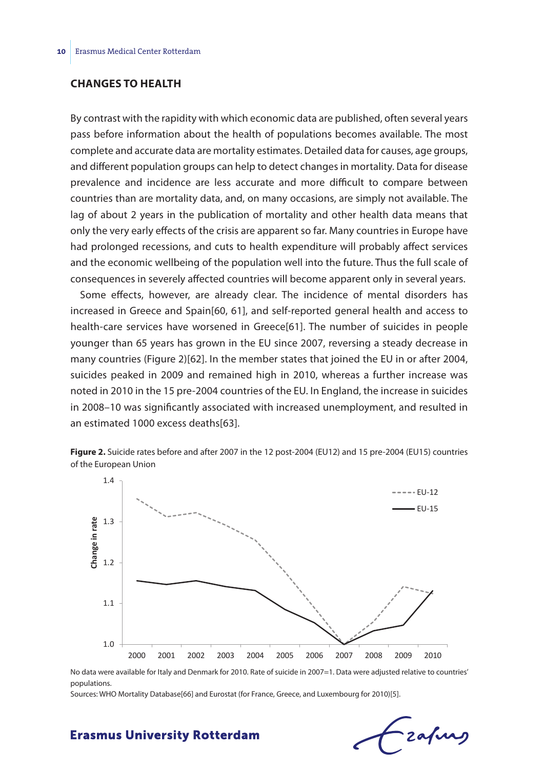## **Changes to health**

By contrast with the rapidity with which economic data are published, often several years pass before information about the health of populations becomes available. The most complete and accurate data are mortality estimates. Detailed data for causes, age groups, and different population groups can help to detect changes in mortality. Data for disease prevalence and incidence are less accurate and more difficult to compare between countries than are mortality data, and, on many occasions, are simply not available. The lag of about 2 years in the publication of mortality and other health data means that only the very early effects of the crisis are apparent so far. Many countries in Europe have had prolonged recessions, and cuts to health expenditure will probably affect services and the economic wellbeing of the population well into the future. Thus the full scale of consequences in severely affected countries will become apparent only in several years.

Some effects, however, are already clear. The incidence of mental disorders has increased in Greece and Spain[60, 61], and self-reported general health and access to health-care services have worsened in Greece[61]. The number of suicides in people younger than 65 years has grown in the EU since 2007, reversing a steady decrease in many countries (Figure 2)[62]. In the member states that joined the EU in or after 2004, suicides peaked in 2009 and remained high in 2010, whereas a further increase was noted in 2010 in the 15 pre-2004 countries of the EU. In England, the increase in suicides in 2008–10 was significantly associated with increased unemployment, and resulted in an estimated 1000 excess deaths[63].





No data were available for Italy and Denmark for 2010. Rate of suicide in 2007=1. Data were adjusted relative to countries' populations.

Sources: WHO Mortality Database[66] and Eurostat (for France, Greece, and Luxembourg for 2010)[5].

-zafurs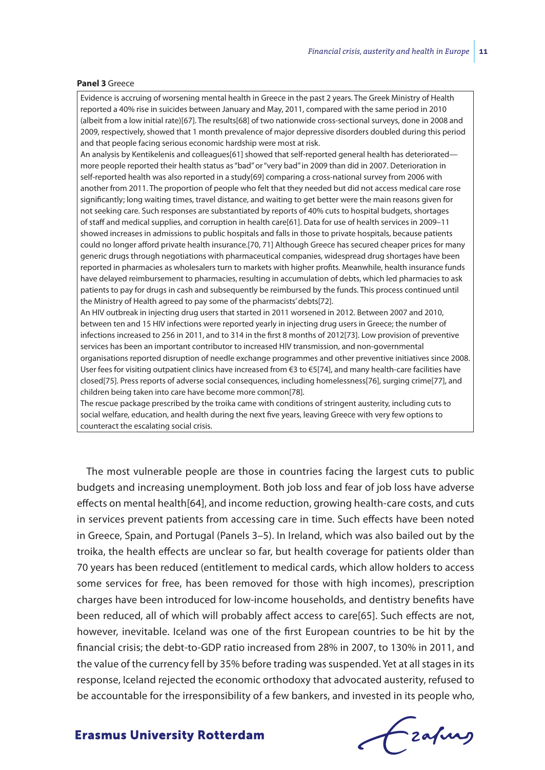#### **Panel 3** Greece

Evidence is accruing of worsening mental health in Greece in the past 2 years. The Greek Ministry of Health reported a 40% rise in suicides between January and May, 2011, compared with the same period in 2010 (albeit from a low initial rate)[67]. The results[68] of two nationwide cross-sectional surveys, done in 2008 and 2009, respectively, showed that 1 month prevalence of major depressive disorders doubled during this period and that people facing serious economic hardship were most at risk.

An analysis by Kentikelenis and colleagues [61] showed that self-reported general health has deteriorated more people reported their health status as"bad"or"very bad"in 2009 than did in 2007. Deterioration in self-reported health was also reported in a study[69] comparing a cross-national survey from 2006 with another from 2011. The proportion of people who felt that they needed but did not access medical care rose significantly; long waiting times, travel distance, and waiting to get better were the main reasons given for not seeking care. Such responses are substantiated by reports of 40% cuts to hospital budgets, shortages of staff and medical supplies, and corruption in health care[61]. Data for use of health services in 2009–11 showed increases in admissions to public hospitals and falls in those to private hospitals, because patients could no longer afford private health insurance.[70, 71] Although Greece has secured cheaper prices for many generic drugs through negotiations with pharmaceutical companies, widespread drug shortages have been reported in pharmacies as wholesalers turn to markets with higher profits. Meanwhile, health insurance funds have delayed reimbursement to pharmacies, resulting in accumulation of debts, which led pharmacies to ask patients to pay for drugs in cash and subsequently be reimbursed by the funds. This process continued until the Ministry of Health agreed to pay some of the pharmacists'debts[72].

An HIV outbreak in injecting drug users that started in 2011 worsened in 2012. Between 2007 and 2010, between ten and 15 HIV infections were reported yearly in injecting drug users in Greece; the number of infections increased to 256 in 2011, and to 314 in the first 8 months of 2012[73]. Low provision of preventive services has been an important contributor to increased HIV transmission, and non-governmental organisations reported disruption of needle exchange programmes and other preventive initiatives since 2008. User fees for visiting outpatient clinics have increased from €3 to €5[74], and many health-care facilities have closed[75]. Press reports of adverse social consequences, including homelessness[76], surging crime[77], and children being taken into care have become more common[78].

The rescue package prescribed by the troika came with conditions of stringent austerity, including cuts to social welfare, education, and health during the next five years, leaving Greece with very few options to counteract the escalating social crisis.

The most vulnerable people are those in countries facing the largest cuts to public budgets and increasing unemployment. Both job loss and fear of job loss have adverse effects on mental health[64], and income reduction, growing health-care costs, and cuts in services prevent patients from accessing care in time. Such effects have been noted in Greece, Spain, and Portugal (Panels 3–5). In Ireland, which was also bailed out by the troika, the health effects are unclear so far, but health coverage for patients older than 70 years has been reduced (entitlement to medical cards, which allow holders to access some services for free, has been removed for those with high incomes), prescription charges have been introduced for low-income households, and dentistry benefits have been reduced, all of which will probably affect access to care[65]. Such effects are not, however, inevitable. Iceland was one of the first European countries to be hit by the financial crisis; the debt-to-GDP ratio increased from 28% in 2007, to 130% in 2011, and the value of the currency fell by 35% before trading was suspended. Yet at all stages in its response, Iceland rejected the economic orthodoxy that advocated austerity, refused to be accountable for the irresponsibility of a few bankers, and invested in its people who,

Fzafung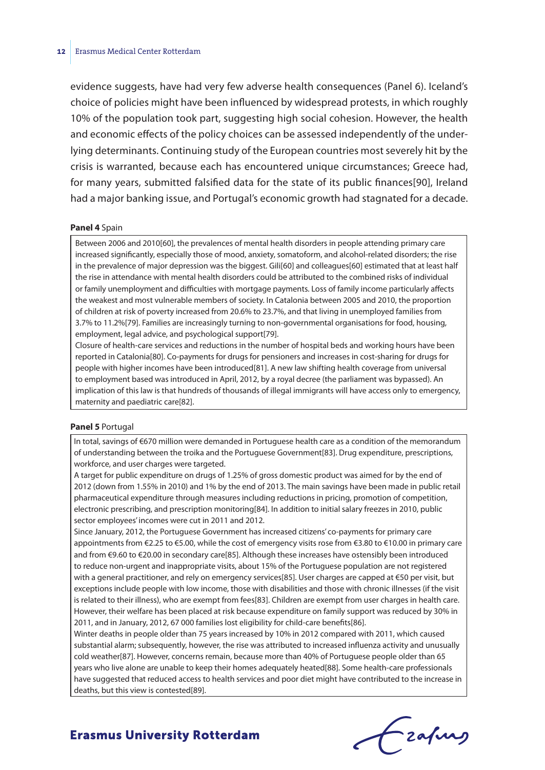evidence suggests, have had very few adverse health consequences (Panel 6). Iceland's choice of policies might have been influenced by widespread protests, in which roughly 10% of the population took part, suggesting high social cohesion. However, the health and economic effects of the policy choices can be assessed independently of the underlying determinants. Continuing study of the European countries most severely hit by the crisis is warranted, because each has encountered unique circumstances; Greece had, for many years, submitted falsified data for the state of its public finances[90], Ireland had a major banking issue, and Portugal's economic growth had stagnated for a decade.

#### **Panel 4** Spain

Between 2006 and 2010[60], the prevalences of mental health disorders in people attending primary care increased significantly, especially those of mood, anxiety, somatoform, and alcohol-related disorders; the rise in the prevalence of major depression was the biggest. Gili[60] and colleagues[60] estimated that at least half the rise in attendance with mental health disorders could be attributed to the combined risks of individual or family unemployment and difficulties with mortgage payments. Loss of family income particularly affects the weakest and most vulnerable members of society. In Catalonia between 2005 and 2010, the proportion of children at risk of poverty increased from 20.6% to 23.7%, and that living in unemployed families from 3.7% to 11.2%[79]. Families are increasingly turning to non-governmental organisations for food, housing, employment, legal advice, and psychological support[79].

Closure of health-care services and reductions in the number of hospital beds and working hours have been reported in Catalonia[80]. Co-payments for drugs for pensioners and increases in cost-sharing for drugs for people with higher incomes have been introduced[81]. A new law shifting health coverage from universal to employment based was introduced in April, 2012, by a royal decree (the parliament was bypassed). An implication of this law is that hundreds of thousands of illegal immigrants will have access only to emergency, maternity and paediatric care[82].

#### **Panel 5** Portugal

In total, savings of €670 million were demanded in Portuguese health care as a condition of the memorandum of understanding between the troika and the Portuguese Government[83]. Drug expenditure, prescriptions, workforce, and user charges were targeted.

A target for public expenditure on drugs of 1.25% of gross domestic product was aimed for by the end of 2012 (down from 1.55% in 2010) and 1% by the end of 2013. The main savings have been made in public retail pharmaceutical expenditure through measures including reductions in pricing, promotion of competition, electronic prescribing, and prescription monitoring[84]. In addition to initial salary freezes in 2010, public sector employees' incomes were cut in 2011 and 2012.

Since January, 2012, the Portuguese Government has increased citizens' co-payments for primary care appointments from €2.25 to €5.00, while the cost of emergency visits rose from €3.80 to €10.00 in primary care and from €9.60 to €20.00 in secondary care[85]. Although these increases have ostensibly been introduced to reduce non-urgent and inappropriate visits, about 15% of the Portuguese population are not registered with a general practitioner, and rely on emergency services[85]. User charges are capped at €50 per visit, but exceptions include people with low income, those with disabilities and those with chronic illnesses (if the visit is related to their illness), who are exempt from fees[83]. Children are exempt from user charges in health care. However, their welfare has been placed at risk because expenditure on family support was reduced by 30% in 2011, and in January, 2012, 67 000 families lost eligibility for child-care benefits[86].

Winter deaths in people older than 75 years increased by 10% in 2012 compared with 2011, which caused substantial alarm; subsequently, however, the rise was attributed to increased influenza activity and unusually cold weather[87]. However, concerns remain, because more than 40% of Portuguese people older than 65 years who live alone are unable to keep their homes adequately heated[88]. Some health-care professionals have suggested that reduced access to health services and poor diet might have contributed to the increase in deaths, but this view is contested[89].

frafing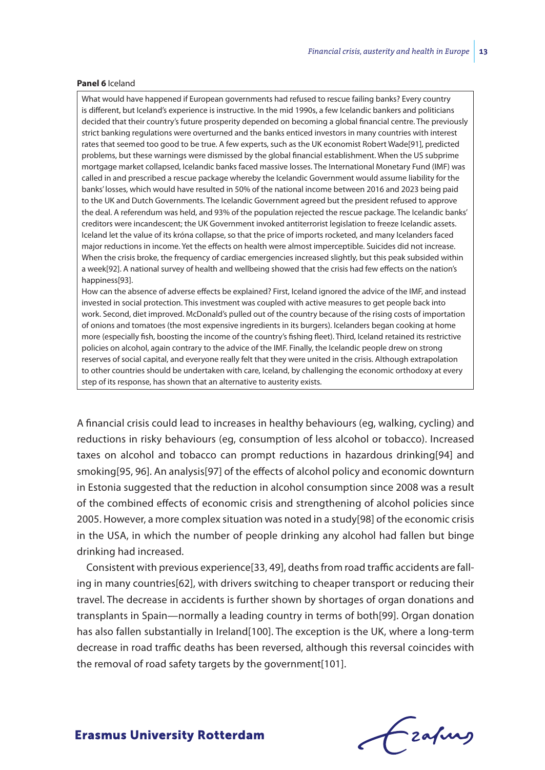#### **Panel 6** Iceland

What would have happened if European governments had refused to rescue failing banks? Every country is different, but Iceland's experience is instructive. In the mid 1990s, a few Icelandic bankers and politicians decided that their country's future prosperity depended on becoming a global financial centre. The previously strict banking regulations were overturned and the banks enticed investors in many countries with interest rates that seemed too good to be true. A few experts, such as the UK economist Robert Wade[91], predicted problems, but these warnings were dismissed by the global financial establishment. When the US subprime mortgage market collapsed, Icelandic banks faced massive losses. The International Monetary Fund (IMF) was called in and prescribed a rescue package whereby the Icelandic Government would assume liability for the banks' losses, which would have resulted in 50% of the national income between 2016 and 2023 being paid to the UK and Dutch Governments. The Icelandic Government agreed but the president refused to approve the deal. A referendum was held, and 93% of the population rejected the rescue package. The Icelandic banks' creditors were incandescent; the UK Government invoked antiterrorist legislation to freeze Icelandic assets. Iceland let the value of its króna collapse, so that the price of imports rocketed, and many Icelanders faced major reductions in income. Yet the effects on health were almost imperceptible. Suicides did not increase. When the crisis broke, the frequency of cardiac emergencies increased slightly, but this peak subsided within a week[92]. A national survey of health and wellbeing showed that the crisis had few effects on the nation's happiness[93].

How can the absence of adverse effects be explained? First, Iceland ignored the advice of the IMF, and instead invested in social protection. This investment was coupled with active measures to get people back into work. Second, diet improved. McDonald's pulled out of the country because of the rising costs of importation of onions and tomatoes (the most expensive ingredients in its burgers). Icelanders began cooking at home more (especially fish, boosting the income of the country's fishing fleet). Third, Iceland retained its restrictive policies on alcohol, again contrary to the advice of the IMF. Finally, the Icelandic people drew on strong reserves of social capital, and everyone really felt that they were united in the crisis. Although extrapolation to other countries should be undertaken with care, Iceland, by challenging the economic orthodoxy at every step of its response, has shown that an alternative to austerity exists.

A financial crisis could lead to increases in healthy behaviours (eg, walking, cycling) and reductions in risky behaviours (eg, consumption of less alcohol or tobacco). Increased taxes on alcohol and tobacco can prompt reductions in hazardous drinking[94] and smoking[95, 96]. An analysis[97] of the effects of alcohol policy and economic downturn in Estonia suggested that the reduction in alcohol consumption since 2008 was a result of the combined effects of economic crisis and strengthening of alcohol policies since 2005. However, a more complex situation was noted in a study[98] of the economic crisis in the USA, in which the number of people drinking any alcohol had fallen but binge drinking had increased.

Consistent with previous experience[33, 49], deaths from road traffic accidents are falling in many countries[62], with drivers switching to cheaper transport or reducing their travel. The decrease in accidents is further shown by shortages of organ donations and transplants in Spain—normally a leading country in terms of both[99]. Organ donation has also fallen substantially in Ireland[100]. The exception is the UK, where a long-term decrease in road traffic deaths has been reversed, although this reversal coincides with the removal of road safety targets by the government[101].

Lzafurs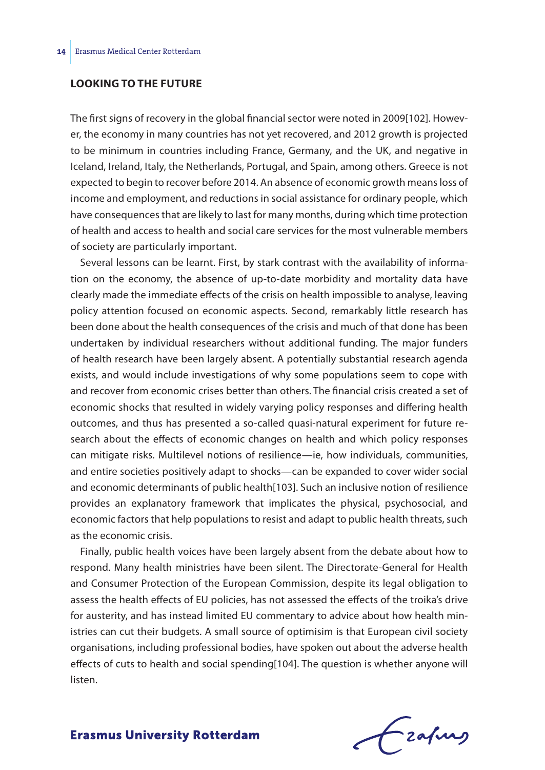## **Looking to the future**

The first signs of recovery in the global financial sector were noted in 2009[102]. However, the economy in many countries has not yet recovered, and 2012 growth is projected to be minimum in countries including France, Germany, and the UK, and negative in Iceland, Ireland, Italy, the Netherlands, Portugal, and Spain, among others. Greece is not expected to begin to recover before 2014. An absence of economic growth means loss of income and employment, and reductions in social assistance for ordinary people, which have consequences that are likely to last for many months, during which time protection of health and access to health and social care services for the most vulnerable members of society are particularly important.

Several lessons can be learnt. First, by stark contrast with the availability of information on the economy, the absence of up-to-date morbidity and mortality data have clearly made the immediate effects of the crisis on health impossible to analyse, leaving policy attention focused on economic aspects. Second, remarkably little research has been done about the health consequences of the crisis and much of that done has been undertaken by individual researchers without additional funding. The major funders of health research have been largely absent. A potentially substantial research agenda exists, and would include investigations of why some populations seem to cope with and recover from economic crises better than others. The financial crisis created a set of economic shocks that resulted in widely varying policy responses and differing health outcomes, and thus has presented a so-called quasi-natural experiment for future research about the effects of economic changes on health and which policy responses can mitigate risks. Multilevel notions of resilience—ie, how individuals, communities, and entire societies positively adapt to shocks—can be expanded to cover wider social and economic determinants of public health[103]. Such an inclusive notion of resilience provides an explanatory framework that implicates the physical, psychosocial, and economic factors that help populations to resist and adapt to public health threats, such as the economic crisis.

Finally, public health voices have been largely absent from the debate about how to respond. Many health ministries have been silent. The Directorate-General for Health and Consumer Protection of the European Commission, despite its legal obligation to assess the health effects of EU policies, has not assessed the effects of the troika's drive for austerity, and has instead limited EU commentary to advice about how health ministries can cut their budgets. A small source of optimisim is that European civil society organisations, including professional bodies, have spoken out about the adverse health effects of cuts to health and social spending[104]. The question is whether anyone will listen.

Frafing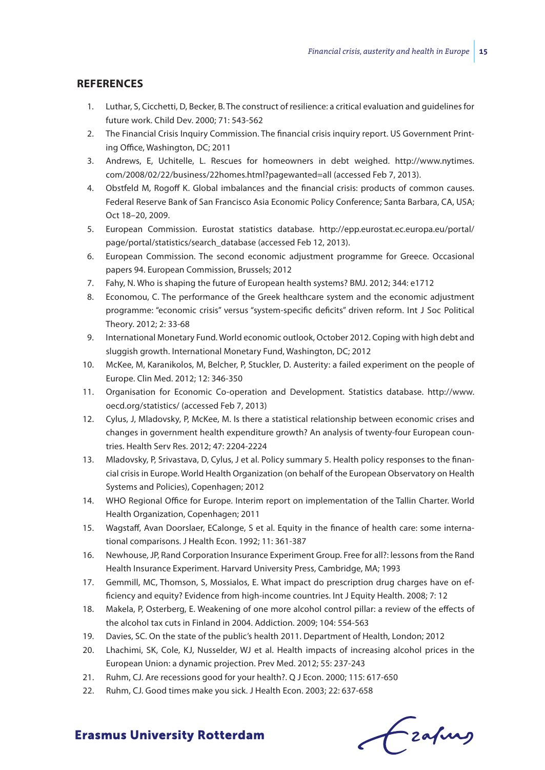## **References**

- 1. Luthar, S, Cicchetti, D, Becker, B. The construct of resilience: a critical evaluation and guidelinesfor future work. Child Dev. 2000; 71: 543-562
- 2. The Financial Crisis Inquiry Commission. The financial crisis inquiry report. US Government Printing Office, Washington, DC; 2011
- 3. Andrews, E, Uchitelle, L. Rescues for homeowners in debt weighed. http://www.nytimes. com/2008/02/22/business/22homes.html?pagewanted=all (accessed Feb 7, 2013).
- 4. Obstfeld M, Rogoff K. Global imbalances and the financial crisis: products of common causes. Federal Reserve Bank of San Francisco Asia Economic Policy Conference; Santa Barbara, CA, USA; Oct 18–20, 2009.
- 5. European Commission. Eurostat statistics database. http://epp.eurostat.ec.europa.eu/portal/ page/portal/statistics/search\_database (accessed Feb 12, 2013).
- 6. European Commission. The second economic adjustment programme for Greece. Occasional papers 94. European Commission, Brussels; 2012
- 7. Fahy, N. Who is shaping the future of European health systems? BMJ. 2012; 344: e1712
- 8. Economou, C. The performance of the Greek healthcare system and the economic adjustment programme: "economic crisis" versus "system-specific deficits" driven reform. Int J Soc Political Theory. 2012; 2: 33-68
- 9. International Monetary Fund. World economic outlook, October 2012. Coping with high debt and sluggish growth. International Monetary Fund, Washington, DC; 2012
- 10. McKee, M, Karanikolos, M, Belcher, P, Stuckler, D. Austerity: a failed experiment on the people of Europe. Clin Med. 2012; 12: 346-350
- 11. Organisation for Economic Co-operation and Development. Statistics database. http://www. oecd.org/statistics/ (accessed Feb 7, 2013)
- 12. Cylus, J, Mladovsky, P, McKee, M. Is there a statistical relationship between economic crises and changes in government health expenditure growth? An analysis of twenty-four European countries. Health Serv Res. 2012; 47: 2204-2224
- 13. Mladovsky, P, Srivastava, D, Cylus, J et al. Policy summary 5. Health policy responses to the financial crisisin Europe. World Health Organization (on behalf of the European Observatory on Health Systems and Policies), Copenhagen; 2012
- 14. WHO Regional Office for Europe. Interim report on implementation of the Tallin Charter. World Health Organization, Copenhagen; 2011
- 15. Wagstaff, Avan Doorslaer, ECalonge, S et al. Equity in the finance of health care: some international comparisons. J Health Econ. 1992; 11: 361-387
- 16. Newhouse, JP, Rand Corporation Insurance Experiment Group. Free for all?: lessons from the Rand Health Insurance Experiment. Harvard University Press, Cambridge, MA; 1993
- 17. Gemmill, MC, Thomson, S, Mossialos, E. What impact do prescription drug charges have on efficiency and equity? Evidence from high-income countries. Int J Equity Health. 2008; 7: 12
- 18. Makela, P, Osterberg, E. Weakening of one more alcohol control pillar: a review of the effects of the alcohol tax cuts in Finland in 2004. Addiction. 2009; 104: 554-563
- 19. Davies, SC. On the state of the public's health 2011. Department of Health, London; 2012
- 20. Lhachimi, SK, Cole, KJ, Nusselder, WJ et al. Health impacts of increasing alcohol prices in the European Union: a dynamic projection. Prev Med. 2012; 55: 237-243
- 21. Ruhm, CJ. Are recessions good for your health?. Q J Econ. 2000; 115: 617-650
- 22. Ruhm, CJ. Good times make you sick. J Health Econ. 2003; 22: 637-658

Frafing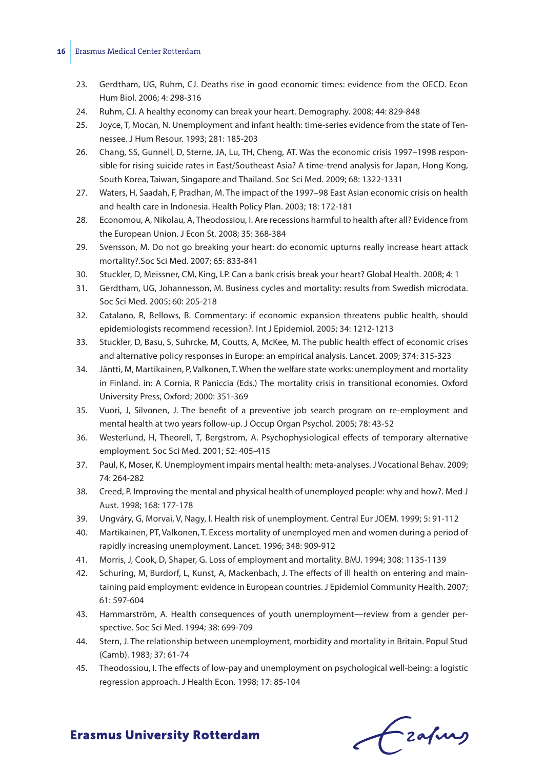- 23. Gerdtham, UG, Ruhm, CJ. Deaths rise in good economic times: evidence from the OECD. Econ Hum Biol. 2006; 4: 298-316
- 24. Ruhm, CJ. A healthy economy can break your heart. Demography. 2008; 44: 829-848
- 25. Joyce, T, Mocan, N. Unemployment and infant health: time-series evidence from the state of Tennessee. J Hum Resour. 1993; 281: 185-203
- 26. Chang, SS, Gunnell, D, Sterne, JA, Lu, TH, Cheng, AT. Was the economic crisis 1997–1998 responsible for rising suicide rates in East/Southeast Asia? A time-trend analysis for Japan, Hong Kong, South Korea, Taiwan, Singapore and Thailand. Soc Sci Med. 2009; 68: 1322-1331
- 27. Waters, H, Saadah, F, Pradhan, M. The impact of the 1997–98 East Asian economic crisis on health and health care in Indonesia. Health Policy Plan. 2003; 18: 172-181
- 28. Economou, A, Nikolau, A, Theodossiou, I. Are recessions harmful to health after all? Evidence from the European Union. J Econ St. 2008; 35: 368-384
- 29. Svensson, M. Do not go breaking your heart: do economic upturns really increase heart attack mortality?.Soc Sci Med. 2007; 65: 833-841
- 30. Stuckler, D, Meissner, CM, King, LP. Can a bank crisis break your heart? Global Health. 2008; 4: 1
- 31. Gerdtham, UG, Johannesson, M. Business cycles and mortality: results from Swedish microdata. Soc Sci Med. 2005; 60: 205-218
- 32. Catalano, R, Bellows, B. Commentary: if economic expansion threatens public health, should epidemiologists recommend recession?. Int J Epidemiol. 2005; 34: 1212-1213
- 33. Stuckler, D, Basu, S, Suhrcke, M, Coutts, A, McKee, M. The public health effect of economic crises and alternative policy responses in Europe: an empirical analysis. Lancet. 2009; 374: 315-323
- 34. Jäntti, M, Martikainen, P, Valkonen, T. When the welfare state works: unemployment and mortality in Finland. in: A Cornia, R Paniccia (Eds.) The mortality crisis in transitional economies. Oxford University Press, Oxford; 2000: 351-369
- 35. Vuori, J, Silvonen, J. The benefit of a preventive job search program on re-employment and mental health at two years follow-up. J Occup Organ Psychol. 2005; 78: 43-52
- 36. Westerlund, H, Theorell, T, Bergstrom, A. Psychophysiological effects of temporary alternative employment. Soc Sci Med. 2001; 52: 405-415
- 37. Paul, K, Moser, K. Unemployment impairs mental health: meta-analyses. J Vocational Behav. 2009; 74: 264-282
- 38. Creed, P. Improving the mental and physical health of unemployed people: why and how?. Med J Aust. 1998; 168: 177-178
- 39. Ungváry, G, Morvai, V, Nagy, I. Health risk of unemployment. Central Eur JOEM. 1999; 5: 91-112
- 40. Martikainen, PT, Valkonen, T. Excess mortality of unemployed men and women during a period of rapidly increasing unemployment. Lancet. 1996; 348: 909-912
- 41. Morris, J, Cook, D, Shaper, G. Loss of employment and mortality. BMJ. 1994; 308: 1135-1139
- 42. Schuring, M, Burdorf, L, Kunst, A, Mackenbach, J. The effects of ill health on entering and maintaining paid employment: evidence in European countries. J Epidemiol Community Health. 2007; 61: 597-604
- 43. Hammarström, A. Health consequences of youth unemployment—review from a gender perspective. Soc Sci Med. 1994; 38: 699-709
- 44. Stern, J. The relationship between unemployment, morbidity and mortality in Britain. Popul Stud (Camb). 1983; 37: 61-74
- 45. Theodossiou, I. The effects of low-pay and unemployment on psychological well-being: a logistic regression approach. J Health Econ. 1998; 17: 85-104

Czafing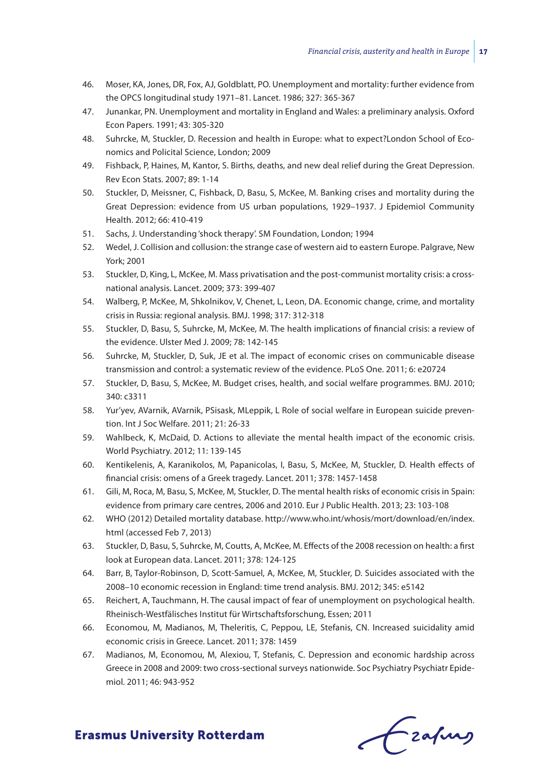- 46. Moser, KA, Jones, DR, Fox, AJ, Goldblatt, PO. Unemployment and mortality: further evidence from the OPCS longitudinal study 1971–81. Lancet. 1986; 327: 365-367
- 47. Junankar, PN. Unemployment and mortality in England and Wales: a preliminary analysis. Oxford Econ Papers. 1991; 43: 305-320
- 48. Suhrcke, M, Stuckler, D. Recession and health in Europe: what to expect?London School of Economics and Policital Science, London; 2009
- 49. Fishback, P, Haines, M, Kantor, S. Births, deaths, and new deal relief during the Great Depression. Rev Econ Stats. 2007; 89: 1-14
- 50. Stuckler, D, Meissner, C, Fishback, D, Basu, S, McKee, M. Banking crises and mortality during the Great Depression: evidence from US urban populations, 1929–1937. J Epidemiol Community Health. 2012; 66: 410-419
- 51. Sachs, J. Understanding 'shock therapy'. SM Foundation, London; 1994
- 52. Wedel, J. Collision and collusion: the strange case of western aid to eastern Europe. Palgrave, New York; 2001
- 53. Stuckler, D, King, L, McKee, M. Mass privatisation and the post-communist mortality crisis: a crossnational analysis. Lancet. 2009; 373: 399-407
- 54. Walberg, P, McKee, M, Shkolnikov, V, Chenet, L, Leon, DA. Economic change, crime, and mortality crisis in Russia: regional analysis. BMJ. 1998; 317: 312-318
- 55. Stuckler, D, Basu, S, Suhrcke, M, McKee, M. The health implications of financial crisis: a review of the evidence. Ulster Med J. 2009; 78: 142-145
- 56. Suhrcke, M, Stuckler, D, Suk, JE et al. The impact of economic crises on communicable disease transmission and control: a systematic review of the evidence. PLoS One. 2011; 6: e20724
- 57. Stuckler, D, Basu, S, McKee, M. Budget crises, health, and social welfare programmes. BMJ. 2010; 340: c3311
- 58. Yur'yev, AVarnik, AVarnik, PSisask, MLeppik, L Role of social welfare in European suicide prevention. Int J Soc Welfare. 2011; 21: 26-33
- 59. Wahlbeck, K, McDaid, D. Actions to alleviate the mental health impact of the economic crisis. World Psychiatry. 2012; 11: 139-145
- 60. Kentikelenis, A, Karanikolos, M, Papanicolas, I, Basu, S, McKee, M, Stuckler, D. Health effects of financial crisis: omens of a Greek tragedy. Lancet. 2011; 378: 1457-1458
- 61. Gili, M, Roca, M, Basu, S, McKee, M, Stuckler, D. The mental health risks of economic crisis in Spain: evidence from primary care centres, 2006 and 2010. Eur J Public Health. 2013; 23: 103-108
- 62. WHO (2012) Detailed mortality database. http://www.who.int/whosis/mort/download/en/index. html (accessed Feb 7, 2013)
- 63. Stuckler, D, Basu, S, Suhrcke, M, Coutts, A, McKee, M. Effects of the 2008 recession on health: a first look at European data. Lancet. 2011; 378: 124-125
- 64. Barr, B, Taylor-Robinson, D, Scott-Samuel, A, McKee, M, Stuckler, D. Suicides associated with the 2008–10 economic recession in England: time trend analysis. BMJ. 2012; 345: e5142
- 65. Reichert, A, Tauchmann, H. The causal impact of fear of unemployment on psychological health. Rheinisch-Westfälisches Institut für Wirtschaftsforschung, Essen; 2011
- 66. Economou, M, Madianos, M, Theleritis, C, Peppou, LE, Stefanis, CN. Increased suicidality amid economic crisis in Greece. Lancet. 2011; 378: 1459
- 67. Madianos, M, Economou, M, Alexiou, T, Stefanis, C. Depression and economic hardship across Greece in 2008 and 2009: two cross-sectional surveys nationwide. Soc Psychiatry Psychiatr Epidemiol. 2011; 46: 943-952

Czafing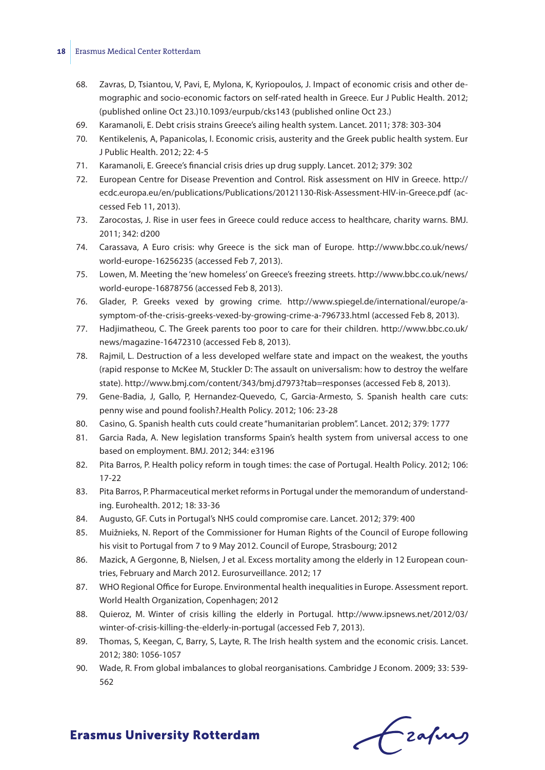- 68. Zavras, D, Tsiantou, V, Pavi, E, Mylona, K, Kyriopoulos, J. Impact of economic crisis and other demographic and socio-economic factors on self-rated health in Greece. Eur J Public Health. 2012; (published online Oct 23.)10.1093/eurpub/cks143 (published online Oct 23.)
- 69. Karamanoli, E. Debt crisis strains Greece's ailing health system. Lancet. 2011; 378: 303-304
- 70. Kentikelenis, A, Papanicolas, I. Economic crisis, austerity and the Greek public health system. Eur J Public Health. 2012; 22: 4-5
- 71. Karamanoli, E. Greece's financial crisis dries up drug supply. Lancet. 2012; 379: 302
- 72. European Centre for Disease Prevention and Control. Risk assessment on HIV in Greece. http:// ecdc.europa.eu/en/publications/Publications/20121130-Risk-Assessment-HIV-in-Greece.pdf (accessed Feb 11, 2013).
- 73. Zarocostas, J. Rise in user fees in Greece could reduce access to healthcare, charity warns. BMJ. 2011; 342: d200
- 74. Carassava, A Euro crisis: why Greece is the sick man of Europe. http://www.bbc.co.uk/news/ world-europe-16256235 (accessed Feb 7, 2013).
- 75. Lowen, M. Meeting the 'new homeless' on Greece's freezing streets. http://www.bbc.co.uk/news/ world-europe-16878756 (accessed Feb 8, 2013).
- 76. Glader, P. Greeks vexed by growing crime. http://www.spiegel.de/international/europe/asymptom-of-the-crisis-greeks-vexed-by-growing-crime-a-796733.html (accessed Feb 8, 2013).
- 77. Hadjimatheou, C. The Greek parents too poor to care for their children. http://www.bbc.co.uk/ news/magazine-16472310 (accessed Feb 8, 2013).
- 78. Rajmil, L. Destruction of a less developed welfare state and impact on the weakest, the youths (rapid response to McKee M, Stuckler D: The assault on universalism: how to destroy the welfare state). http://www.bmj.com/content/343/bmj.d7973?tab=responses (accessed Feb 8, 2013).
- 79. Gene-Badia, J, Gallo, P, Hernandez-Quevedo, C, Garcia-Armesto, S. Spanish health care cuts: penny wise and pound foolish?.Health Policy. 2012; 106: 23-28
- 80. Casino, G. Spanish health cuts could create "humanitarian problem". Lancet. 2012; 379: 1777
- 81. Garcia Rada, A. New legislation transforms Spain's health system from universal access to one based on employment. BMJ. 2012; 344: e3196
- 82. Pita Barros, P. Health policy reform in tough times: the case of Portugal. Health Policy. 2012; 106: 17-22
- 83. Pita Barros, P. Pharmaceutical merket reforms in Portugal under the memorandum of understanding. Eurohealth. 2012; 18: 33-36
- 84. Augusto, GF. Cuts in Portugal's NHS could compromise care. Lancet. 2012; 379: 400
- 85. Muižnieks, N. Report of the Commissioner for Human Rights of the Council of Europe following his visit to Portugal from 7 to 9 May 2012. Council of Europe, Strasbourg; 2012
- 86. Mazick, A Gergonne, B, Nielsen, J et al. Excess mortality among the elderly in 12 European countries, February and March 2012. Eurosurveillance. 2012; 17
- 87. WHO Regional Office for Europe. Environmental health inequalities in Europe. Assessment report. World Health Organization, Copenhagen; 2012
- 88. Quieroz, M. Winter of crisis killing the elderly in Portugal. http://www.ipsnews.net/2012/03/ winter-of-crisis-killing-the-elderly-in-portugal (accessed Feb 7, 2013).
- 89. Thomas, S, Keegan, C, Barry, S, Layte, R. The Irish health system and the economic crisis. Lancet. 2012; 380: 1056-1057
- 90. Wade, R. From global imbalances to global reorganisations. Cambridge J Econom. 2009; 33: 539-562

Czafing